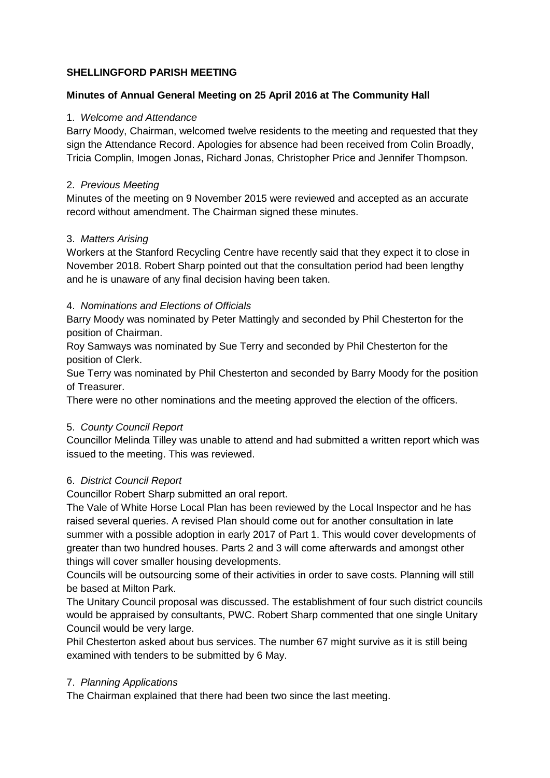## **SHELLINGFORD PARISH MEETING**

## **Minutes of Annual General Meeting on 25 April 2016 at The Community Hall**

#### 1. *Welcome and Attendance*

Barry Moody, Chairman, welcomed twelve residents to the meeting and requested that they sign the Attendance Record. Apologies for absence had been received from Colin Broadly, Tricia Complin, Imogen Jonas, Richard Jonas, Christopher Price and Jennifer Thompson.

#### 2. *Previous Meeting*

Minutes of the meeting on 9 November 2015 were reviewed and accepted as an accurate record without amendment. The Chairman signed these minutes.

### 3. *Matters Arising*

Workers at the Stanford Recycling Centre have recently said that they expect it to close in November 2018. Robert Sharp pointed out that the consultation period had been lengthy and he is unaware of any final decision having been taken.

# 4. *Nominations and Elections of Officials*

Barry Moody was nominated by Peter Mattingly and seconded by Phil Chesterton for the position of Chairman.

Roy Samways was nominated by Sue Terry and seconded by Phil Chesterton for the position of Clerk.

Sue Terry was nominated by Phil Chesterton and seconded by Barry Moody for the position of Treasurer.

There were no other nominations and the meeting approved the election of the officers.

#### 5. *County Council Report*

Councillor Melinda Tilley was unable to attend and had submitted a written report which was issued to the meeting. This was reviewed.

# 6. *District Council Report*

Councillor Robert Sharp submitted an oral report.

The Vale of White Horse Local Plan has been reviewed by the Local Inspector and he has raised several queries. A revised Plan should come out for another consultation in late summer with a possible adoption in early 2017 of Part 1. This would cover developments of greater than two hundred houses. Parts 2 and 3 will come afterwards and amongst other things will cover smaller housing developments.

Councils will be outsourcing some of their activities in order to save costs. Planning will still be based at Milton Park.

The Unitary Council proposal was discussed. The establishment of four such district councils would be appraised by consultants, PWC. Robert Sharp commented that one single Unitary Council would be very large.

Phil Chesterton asked about bus services. The number 67 might survive as it is still being examined with tenders to be submitted by 6 May.

# 7. *Planning Applications*

The Chairman explained that there had been two since the last meeting.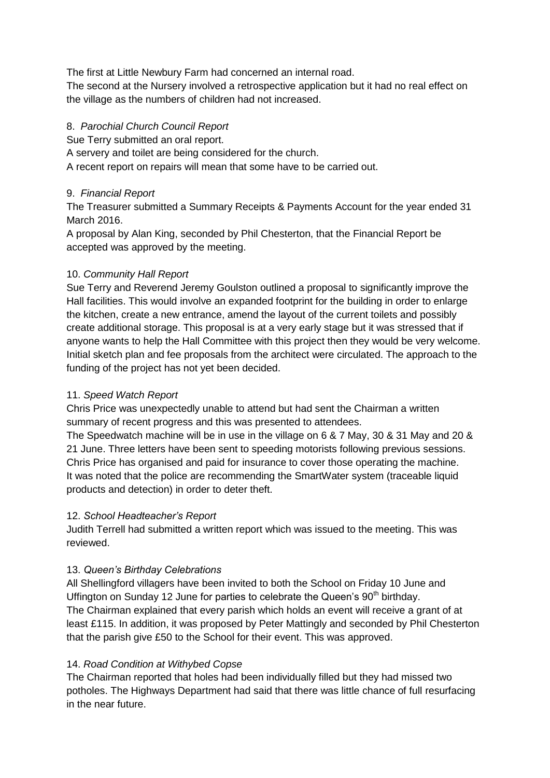The first at Little Newbury Farm had concerned an internal road.

The second at the Nursery involved a retrospective application but it had no real effect on the village as the numbers of children had not increased.

## 8. *Parochial Church Council Report*

Sue Terry submitted an oral report.

A servery and toilet are being considered for the church.

A recent report on repairs will mean that some have to be carried out.

## 9. *Financial Report*

The Treasurer submitted a Summary Receipts & Payments Account for the year ended 31 March 2016.

A proposal by Alan King, seconded by Phil Chesterton, that the Financial Report be accepted was approved by the meeting.

# 10. *Community Hall Report*

Sue Terry and Reverend Jeremy Goulston outlined a proposal to significantly improve the Hall facilities. This would involve an expanded footprint for the building in order to enlarge the kitchen, create a new entrance, amend the layout of the current toilets and possibly create additional storage. This proposal is at a very early stage but it was stressed that if anyone wants to help the Hall Committee with this project then they would be very welcome. Initial sketch plan and fee proposals from the architect were circulated. The approach to the funding of the project has not yet been decided.

## 11. *Speed Watch Report*

Chris Price was unexpectedly unable to attend but had sent the Chairman a written summary of recent progress and this was presented to attendees.

The Speedwatch machine will be in use in the village on 6 & 7 May, 30 & 31 May and 20 & 21 June. Three letters have been sent to speeding motorists following previous sessions. Chris Price has organised and paid for insurance to cover those operating the machine. It was noted that the police are recommending the SmartWater system (traceable liquid products and detection) in order to deter theft.

#### 12. *School Headteacher's Report*

Judith Terrell had submitted a written report which was issued to the meeting. This was reviewed.

# 13. *Queen's Birthday Celebrations*

All Shellingford villagers have been invited to both the School on Friday 10 June and Uffington on Sunday 12 June for parties to celebrate the Queen's 90<sup>th</sup> birthday. The Chairman explained that every parish which holds an event will receive a grant of at least £115. In addition, it was proposed by Peter Mattingly and seconded by Phil Chesterton that the parish give £50 to the School for their event. This was approved.

# 14. *Road Condition at Withybed Copse*

The Chairman reported that holes had been individually filled but they had missed two potholes. The Highways Department had said that there was little chance of full resurfacing in the near future.